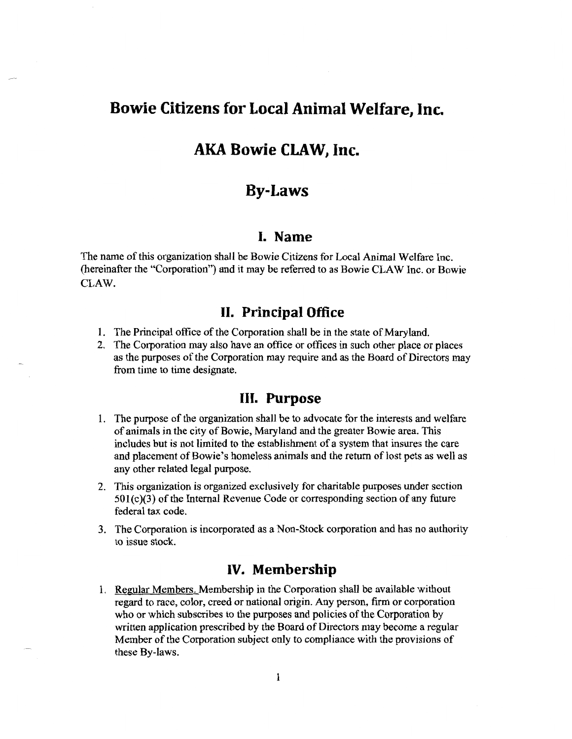# **Bowie Citizens for Local Animal Welfare, Inc.**

# **AKA Bowie CLAW, Inc.**

# **By-Laws**

#### **I. Name**

 $T_{\text{max}}$  of this organization shall be Bowie Citizens for Local Animal Welfare Inc. (here hame of this organization shall be Bowie Citizens for Local Animal Welfare Inc. (hereinafter the "Corporation") and it may be referred to as Bowie CLAW Inc. or Bowie CLAW.

## **II. Principal Office**

- 1. The Principal office of the Corporation shall be in the state of Maryland. The Principal office of the Corporation shall be in the state of Maryland.
- de Corporation may also have an office or offices in such other place or places as the purposes of the Corporation may require and as the Board of Directors may from time to time designate.

## **III. Purpose**

- $\overline{1}$  . The purpose of the organization shall be to advocate for the interests and welfare for the interests and welfare for the interests and welfare for the interests and welfare for the interests and welfare for the le purpose of the organization shall be to advocate for the interests and well of animals in the city of Bowie, Maryland and the greater Bowie area. This includes but is not limited to the establishment of a system that insures the care and placement of Bowie's homeless animals and the return of lost pets as well as any other related legal purpose.
- $2.$  This organization is organized exclusively for charitable purposes under section is organized by  $\frac{1}{2}$  $\frac{1}{2}$  or contraction is organized exclusively for charitable purposes under section of any  $\frac{1}{2}$  or  $\frac{1}{2}$  or  $\frac{1}{2}$  or  $\frac{1}{2}$  or  $\frac{1}{2}$  or  $\frac{1}{2}$  or  $\frac{1}{2}$  or  $\frac{1}{2}$  or  $\frac{1}{2}$  or  $\frac{1}{2}$  $501(c)(3)$  of the Internal Revenue Code or corresponding section of any future federal tax code.
- $\overline{3}$  . The Corporation is incorporated as a Non-Stock corporation as a Non-Stock corporation and has no authority of  $\overline{3}$ the Corporation

# **IV. Membership**

 $\overline{1}$ . Regular Members. Members hip in the Corporation shall be available with shall be available without without without without with  $\overline{1}$ regular Members, Membership in the Corporation shall be available without regard to race, color, creed or national origin. Any person, firm or corporation who or which subscribes to the purposes and policies of the Corporation by written application prescribed by the Board of Directors may become a regular Member of the Corporation subject only to compliance with the provisions of these By-laws.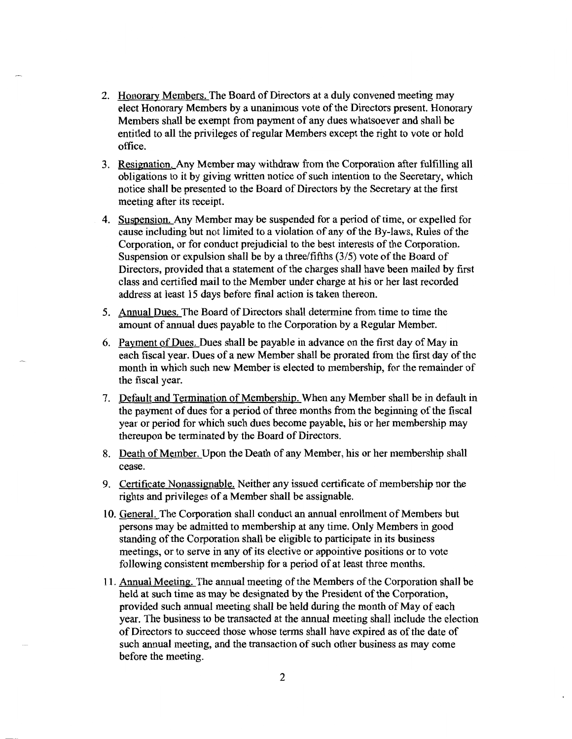- 2. Honorary Members. The Board of Directors at a duly convened meeting may elect Honorary Members by a unanimous vote of the Directors present. Honorary Members shall be exempt from payment of any dues whatsoever and shall be entitled to all the privileges of regular Members except the right to vote or hold office.
- 3. Resignation. Any Member may withdraw from the Corporation after fulfilling all obligations to it by giving written notice of such intention to the Secretary, which notice shall be presented to the Board of Directors by the Secretary at the first meeting after its receipt.
- 4. Suspension. Any Member may be suspended for a period of time, or expelled for cause including but not limited to a violation of any of the By-laws, Rules of the Corporation, or for conduct prejudicial to the best interests of the Corporation. Suspension or expulsion shall be by a three/fifths (3/5) vote of the Board of Directors, provided that a statement of the charges shall have been mailed by first class and certified mail to the Member under charge at his or her last recorded address at least 15 days before final action is taken thereon.
- 5. Annual Dues. The Board of Directors shall determine from time to time the amount of annual dues payable to the Corporation by a Regular Member.
- 6. Payment of Dues. Dues shall be payable in advance on the first day of May in each fiscal year. Dues of a new Member shall be prorated from the first day of the month in which such new Member is elected to membership, for the remainder of the fiscal year.
- 7. Default and Termination of Membership. When any Member shall be in default in the payment of dues for a period of three months from the beginning of the fiscal year or period for which such dues become payable, his or her membership may thereupon be terminated by the Board of Directors.
- 8. Death of Member. Upon the Death of any Member, his or her membership shall cease.
- 9. Certificate Nonassignable. Neither any issued certificate of membership nor the rights and privileges of a Member shall be assignable.
- 10. General. The Corporation shall conduct an annual enrollment of Members but persons may be admitted to membership at any time. Only Members in good standing of the Corporation shall be eligible to participate in its business meetings, or to serve in any of its elective or appointive positions or to vote following consistent membership for a period of at least three months.
- 11. Annual Meeting. The annual meeting of the Members of the Corporation shall be held at such time as may be designated by the President of the Corporation, provided such annual meeting shall be held during the month of May of each year. The business to be transacted at the annual meeting shall include the election of Directors to succeed those whose terms shall have expired as of the date of such annual meeting, and the transaction of such other business as may come before the meeting.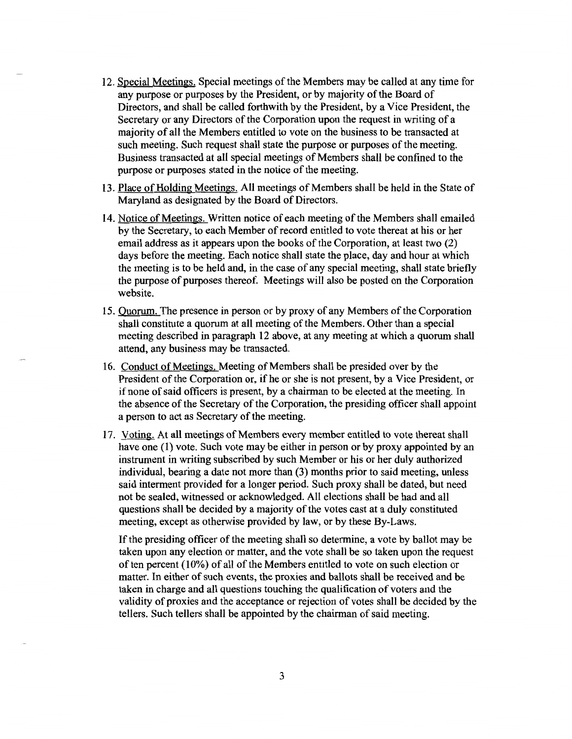- 12. Special Meetings. Special meetings of the Members may be called at any time for any purpose or purposes by the President, or by majority of the Board of Directors, and shall be called forthwith by the President, by a Vice President, the Secretary or any Directors of the Corporation upon the request in writing of a majority of all the Members entitled to vote on the business to be transacted at such meeting. Such request shall state the purpose or purposes of the meeting. Business transacted at all special meetings of Members shall be confined to the purpose or purposes stated in the notice of the meeting.
- 13. Place of Holding Meetings. All meetings of Members shall be held in the State of Maryland as designated by the Board of Directors.
- 14. Notice of Meetings. Written notice of each meeting of the Members shall emailed by the Secretary, to each Member of record entitled to vote thereat at his or her email address as it appears upon the books of the Corporation, at least two (2) days before the meeting. Each notice shall state the place, day and hour at which the meeting is to be held and, in the case of any special meeting, shall state briefly the purpose of purposes thereof. Meetings will also be posted on the Corporation website.
- 15. Quorum. The presence in person or by proxy of any Members of the Corporation shall constitute a quorum at all meeting of the Members. Other than a special meeting described in paragraph 12 above, at any meeting at which a quorum shall attend, any business may be transacted.
- 16. Conduct of Meetings. Meeting of Members shall be presided over by the President of the Corporation or, if he or she is not present, by a Vice President, or if none of said officers is present, by a chairman to be elected at the meeting. In the absence of the Secretary of the Corporation, the presiding officer shall appoint a person to act as Secretary of the meeting.
- 17. Voting. At all meetings of Members every member entitled to vote thereat shall have one (1) vote. Such vote may be either in person or by proxy appointed by an instrument in writing subscribed by such Member or his or her duly authorized individual, bearing a date not more than (3) months prior to said meeting, unless said interment provided for a longer period. Such proxy shall be dated, but need not be sealed, witnessed or acknowledged. All elections shall be had and all questions shall be decided by a majority of the votes cast at a duly constituted meeting, except as otherwise provided by law, or by these By-Laws.

If the presiding officer of the meeting shall so determine, a vote by ballot may be taken upon any election or matter, and the vote shall be so taken upon the request of ten percent  $(10\%)$  of all of the Members entitled to vote on such election or matter. In either of such events, the proxies and ballots shall be received and be taken in charge and all questions touching the qualification of voters and the validity of proxies and the acceptance or rejection of votes shall be decided by the tellers. Such tellers shall be appointed by the chairman of said meeting.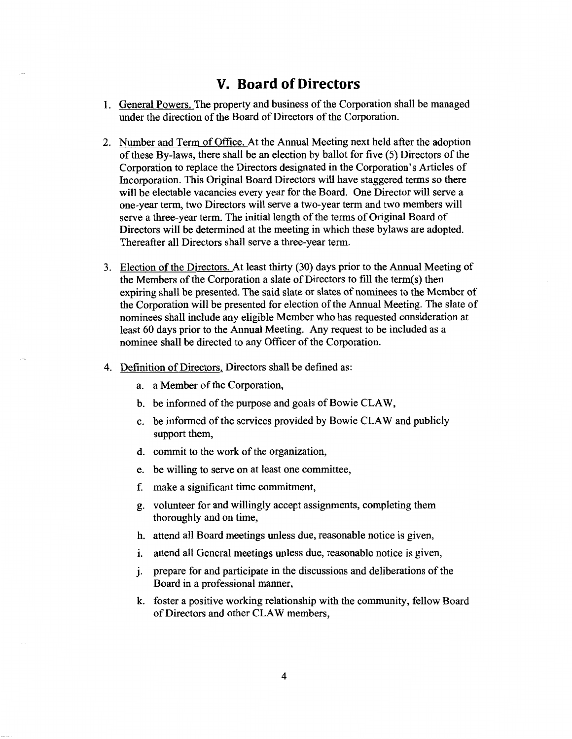# **V. Board of Directors**

- 1. General Powers. The property and business of the Corporation shall be managed under the direction of the Board of Directors of the Corporation.
- 2. Number and Term of Office. At the Annual Meeting next held after the adoption of these By-laws, there shall be an election by ballot for five (5) Directors of the Corporation to replace the Directors designated in the Corporation's Articles of Incorporation. This Original Board Directors will have staggered terms so there will be electable vacancies every year for the Board. One Director will serve a one-year term, two Directors will serve a two-year term and two members will serve a three-year term. The initial length of the terms of Original Board of Directors will be determined at the meeting in which these bylaws are adopted. Thereafter all Directors shall serve a three-year term.
- 3. Election of the Directors. At least thirty (30) days prior to the Annual Meeting of the Members of the Corporation a slate of Directors to fill the term(s) then expiring shall be presented. The said slate or slates of nominees to the Member of the Corporation will be presented for election of the Annual Meeting. The slate of nominees shall include any eligible Member who has requested consideration at least 60 days prior to the Annual Meeting. Any request to be included as a nominee shall be directed to any Officer of the Corporation.
- 4. Definition of Directors. Directors shall be defined as:
	- a. a Member of the Corporation,
	- b. be informed of the purpose and goals of Bowie CLAW,
	- c. be informed of the services provided by Bowie CLAW and publicly support them,
	- d. commit to the work of the organization,
	- e. be willing to serve on at least one committee,
	- f. make a significant time commitment,
	- g. volunteer for and willingly accept assignments, completing them thoroughly and on time,
	- h. attend all Board meetings unless due, reasonable notice is given,
	- i. attend all General meetings unless due, reasonable notice is given,
	- j. prepare for and participate in the discussions and deliberations of the Board in a professional manner,
	- k. foster a positive working relationship with the community, fellow Board of Directors and other CLAW members,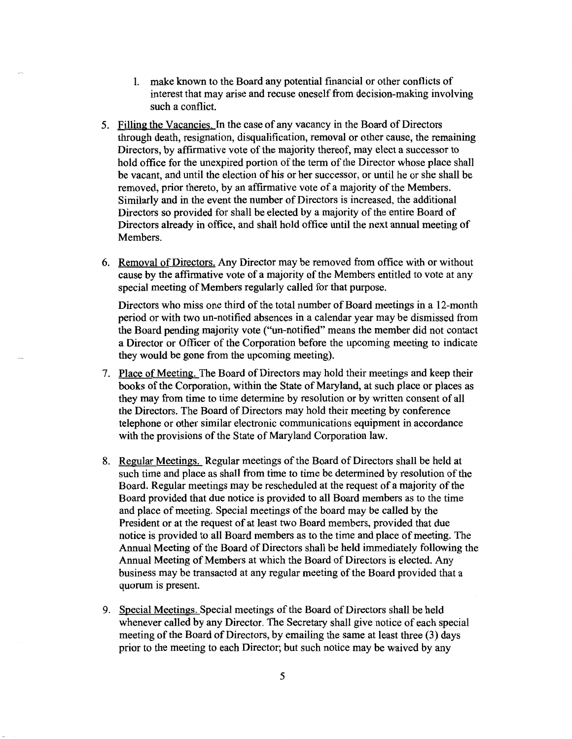- 1. make known to the Board any potential financial or other conflicts of interest that may arise and recuse oneself from decision-making involving such a conflict.
- 5. Filling the Vacancies. In the case of any vacancy in the Board of Directors through death, resignation, disqualification, removal or other cause, the remaining Directors, by affirmative vote of the majority thereof, may elect a successor to hold office for the unexpired portion of the term of the Director whose place shall be vacant, and until the election of his or her successor, or until he or she shall be removed, prior thereto, by an affirmative vote of a majority of the Members. Similarly and in the event the number of Directors is increased, the additional Directors so provided for shall be elected by a majority of the entire Board of Directors already in office, and shall hold office until the next annual meeting of Members.
- 6. Removal of Directors. Any Director may be removed from office with or without cause by the affirmative vote of a majority of the Members entitled to vote at any special meeting of Members regularly called for that purpose.

Directors who miss one third of the total number of Board meetings in a 12-month period or with two un-notified absences in a calendar year may be dismissed from the Board pending majority vote ("un-notified" means the member did not contact a Director or Officer of the Corporation before the upcoming meeting to indicate they would be gone from the upcoming meeting).

- 7. Place of Meeting. The Board of Directors may hold their meetings and keep their books of the Corporation, within the State of Maryland, at such place or places as they may from time to time determine by resolution or by written consent of all the Directors. The Board of Directors may hold their meeting by conference telephone or other similar electronic communications equipment in accordance with the provisions of the State of Maryland Corporation law.
- 8. Regular Meetings. Regular meetings of the Board of Directors shall be held at such time and place as shall from time to time be determined by resolution of the Board. Regular meetings may be rescheduled at the request of a majority of the Board provided that due notice is provided to all Board members as to the time and place of meeting. Special meetings of the board may be called by the President or at the request of at least two Board members, provided that due notice is provided to all Board members as to the time and place of meeting. The Annual Meeting of the Board of Directors shall be held immediately following the Annual Meeting of Members at which the Board of Directors is elected. Any business may be transacted at any regular meeting of the Board provided that a quorum is present.
- 9. Special Meetings. Special meetings of the Board of Directors shall be held whenever called by any Director. The Secretary shall give notice of each special meeting of the Board of Directors, by emailing the same at least three (3) days prior to the meeting to each Director; but such notice may be waived by any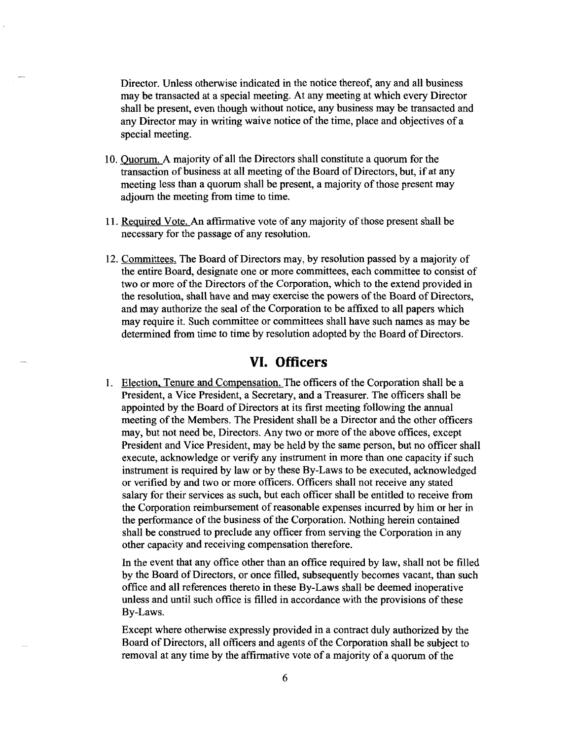Director. Unless otherwise indicated in the notice thereof, any and all business may be transacted at a special meeting. At any meeting at which every Director shall be present, even though without notice, any business may be transacted and any Director may in writing waive notice of the time, place and objectives of a special meeting.

- 10. Quorum. A majority of all the Directors shall constitute a quorum for the transaction of business at all meeting of the Board of Directors, but, if at any meeting less than a quorum shall be present, a majority of those present may adjourn the meeting from time to time.
- 11. Required Vote. An affirmative vote of any majority of those present shall be necessary for the passage of any resolution.
- 12. Committees. The Board of Directors may, by resolution passed by a majority of the entire Board, designate one or more committees, each committee to consist of two or more of the Directors of the Corporation, which to the extend provided in the resolution, shall have and may exercise the powers of the Board of Directors, and may authorize the seal of the Corporation to be affixed to all papers which may require it. Such committee or committees shall have such names as may be determined from time to time by resolution adopted by the Board of Directors.

## **VI. Officers**

1. Election. Tenure and Compensation. The officers of the Corporation shall be a President, a Vice President, a Secretary, and a Treasurer. The officers shall be appointed by the Board of Directors at its first meeting following the annual meeting of the Members. The President shall be a Director and the other officers may, but not need be, Directors. Any two or more of the above offices, except President and Vice President, may be held by the same person, but no officer shall execute, acknowledge or verify any instrument in more than one capacity if such instrument is required by law or by these By-Laws to be executed, acknowledged or verified by and two or more officers. Officers shall not receive any stated salary for their services as such, but each officer shall be entitled to receive from the Corporation reimbursement of reasonable expenses incurred by him or her in the performance of the business of the Corporation. Nothing herein contained shall be construed to preclude any officer from serving the Corporation in any other capacity and receiving compensation therefore.

In the event that any office other than an office required by law, shall not be filled by the Board of Directors, or once filled, subsequently becomes vacant, than such office and all references thereto in these By-Laws shall be deemed inoperative unless and until such office is filled in accordance with the provisions of these By-Laws.

Except where otherwise expressly provided in a contract duly authorized by the Board of Directors, all officers and agents of the Corporation shall be subject to removal at any time by the affirmative vote of a majority of a quorum of the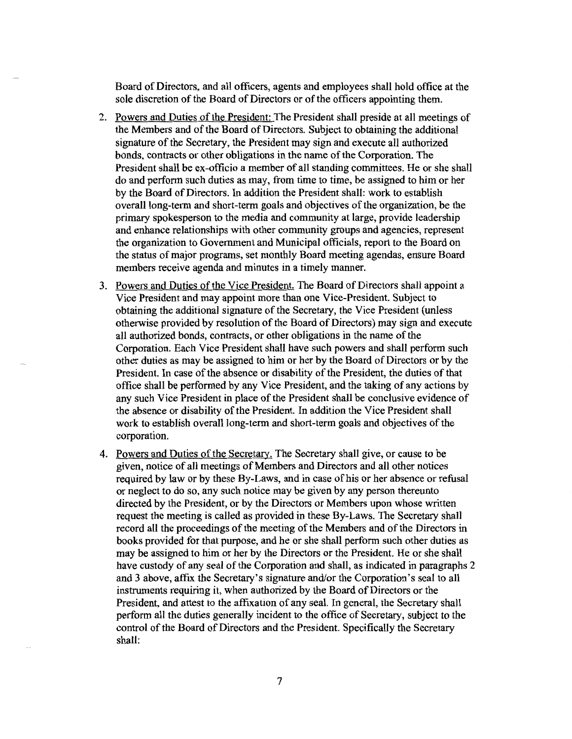Board of Directors, and all officers, agents and employees shall hold office at the sole discretion of the Board of Directors or of the officers appointing them.

- 2. Powers and Duties of the President: The President shall preside at all meetings of the Members and of the Board of Directors. Subject to obtaining the additional signature of the Secretary, the President may sign and execute all authorized bonds, contracts or other obligations in the name of the Corporation. The President shall be ex-officio a member of all standing committees. He or she shall do and perform such duties as may, from time to time, be assigned to him or her by the Board of Directors. In addition the President shall: work to establish overall long-term and short-term goals and objectives of the organization, be the primary spokesperson to the media and community at large, provide leadership and enhance relationships with other community groups and agencies, represent the organization to Government and Municipal officials, report to the Board on the status of major programs, set monthly Board meeting agendas, ensure Board members receive agenda and minutes in a timely manner.
- 3. Powers and Duties of the Vice President. The Board of Directors shall appoint a Vice President and may appoint more than one Vice-President. Subject to obtaining the additional signature of the Secretary, the Vice President (unless otherwise provided by resolution of the Board of Directors) may sign and execute all authorized bonds, contracts, or other obligations in the name of the Corporation. Each Vice President shall have such powers and shall perform such other duties as may be assigned to him or her by the Board of Directors or by the President. In case of the absence or disability of the President, the duties of that office shall be performed by any Vice President, and the taking of any actions by any such Vice President in place of the President shall be conclusive evidence of the absence or disability of the President. In addition the Vice President shall work to establish overall long-term and short-term goals and objectives of the corporation.
- 4. Powers and Duties of the Secretary. The Secretary shall give, or cause to be given, notice of all meetings of Members and Directors and all other notices required by law or by these By-Laws, and in case of his or her absence or refusal or neglect to do so, any such notice may be given by any person thereunto directed by the President, or by the Directors or Members upon whose written request the meeting is called as provided in these By-Laws. The Secretary shall record all the proceedings of the meeting of the Members and of the Directors in books provided for that purpose, and he or she shall perform such other duties as may be assigned to him or her by the Directors or the President. He or she shall have custody of any seal of the Corporation and shall, as indicated in paragraphs 2 and 3 above, affix the Secretary's signature and/or the Corporation's seal to all instruments requiring it, when authorized by the Board of Directors or the President, and attest to the affixation of any seal. In general, the Secretary shall perform all the duties generally incident to the office of Secretary, subject to the control of the Board of Directors and the President. Specifically the Secretary shall: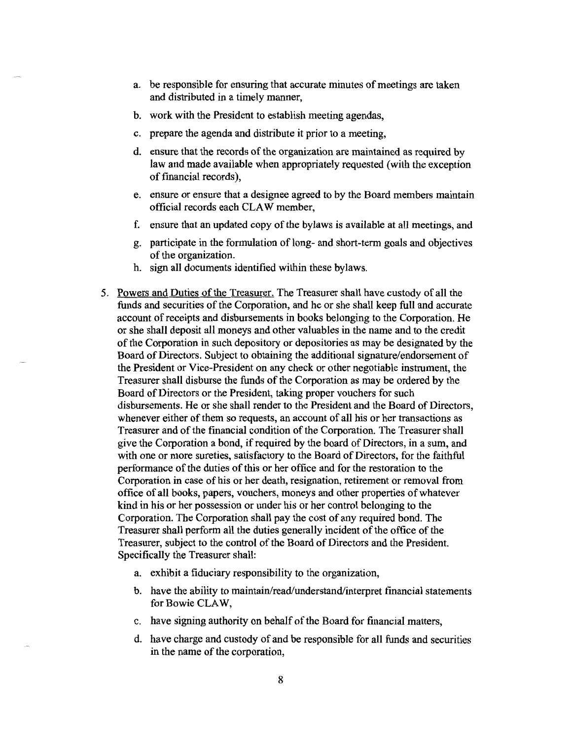- a. be responsible for ensuring that accurate minutes of meetings are taken and distributed in a timely manner,
- b. work with the President to establish meeting agendas,
- c. prepare the agenda and distribute it prior to a meeting,
- d. ensure that the records of the organization are maintained as required by law and made available when appropriately requested (with the exception of financial records),
- e. ensure or ensure that a designee agreed to by the Board members maintain official records each CLAW member,
- f. ensure that an updated copy of the bylaws is available at all meetings, and
- g. participate in the formulation of long- and short-term goals and objectives of the organization.
- h. sign all documents identified within these bylaws.
- 5. Powers and Duties of the Treasurer. The Treasurer shall have custody of all the funds and securities of the Corporation, and he or she shall keep full and accurate account of receipts and disbursements in books belonging to the Corporation. He or she shall deposit all moneys and other valuables in the name and to the credit of the Corporation in such depository or depositories as may be designated by the Board of Directors. Subject to obtaining the additional signature/endorsement of the President or Vice-President on any check or other negotiable instrument, the Treasurer shall disburse the funds of the Corporation as may be ordered by the Board of Directors or the President, taking proper vouchers for such disbursements. He or she shall render to the President and the Board of Directors, whenever either of them so requests, an account of all his or her transactions as Treasurer and of the financial condition of the Corporation. The Treasurer shall give the Corporation a bond, if required by the board of Directors, in a sum, and with one or more sureties, satisfactory to the Board of Directors, for the faithful performance of the duties of this or her office and for the restoration to the Corporation in case of his or her death, resignation, retirement or removal from office of all books, papers, vouchers, moneys and other properties of whatever kind in his or her possession or under his or her control belonging to the Corporation. The Corporation shall pay the cost of any required bond. The Treasurer shall perform all the duties generally incident of the office of the Treasurer, subject to the control of the Board of Directors and the President. Specifically the Treasurer shall:
	- a. exhibit a fiduciary responsibility to the organization,
	- b. have the ability to maintain/read/understand/interpret financial statements for Bowie CLAW,
	- c. have signing authority on behalf of the Board for financial matters,
	- d. have charge and custody of and be responsible for all funds and securities in the name of the corporation,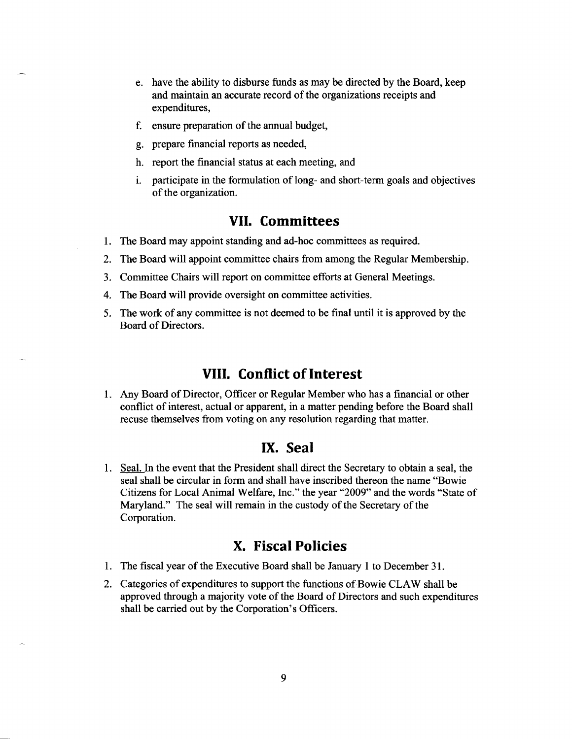- e. have the ability to disburse funds as may be directed by the Board, keep and maintain an accurate record of the organizations receipts and expenditures,
- f. ensure preparation of the annual budget,
- g. prepare financial reports as needed,
- h. report the financial status at each meeting, and
- i. participate in the formulation of long- and short-term goals and objectives of the organization.

#### **VII. Committees**

- 1. The Board may appoint standing and ad-hoc committees as required.
- 2. The Board will appoint committee chairs from among the Regular Membership.
- 3. Committee Chairs will report on committee efforts at General Meetings.
- 4. The Board will provide oversight on committee activities.
- 5. The work of any committee is not deemed to be final until it is approved by the Board of Directors.

# **VIII. Conflict of Interest**

1. Any Board of Director, Officer or Regular Member who has a financial or other conflict of interest, actual or apparent, in a matter pending before the Board shall recuse themselves from voting on any resolution regarding that matter.

### **IX. Seal**

1. Seal. In the event that the President shall direct the Secretary to obtain a seal, the seal shall be circular in form and shall have inscribed thereon the name "Bowie Citizens for Local Animal Welfare, Inc." the year "2009" and the words "State of Maryland." The seal will remain in the custody of the Secretary of the Corporation.

## **X. Fiscal Policies**

- 1. The fiscal year of the Executive Board shall be January 1 to December 31.
- 2. Categories of expenditures to support the functions of Bowie CLAW shall be approved through a majority vote of the Board of Directors and such expenditures shall be carried out by the Corporation's Officers.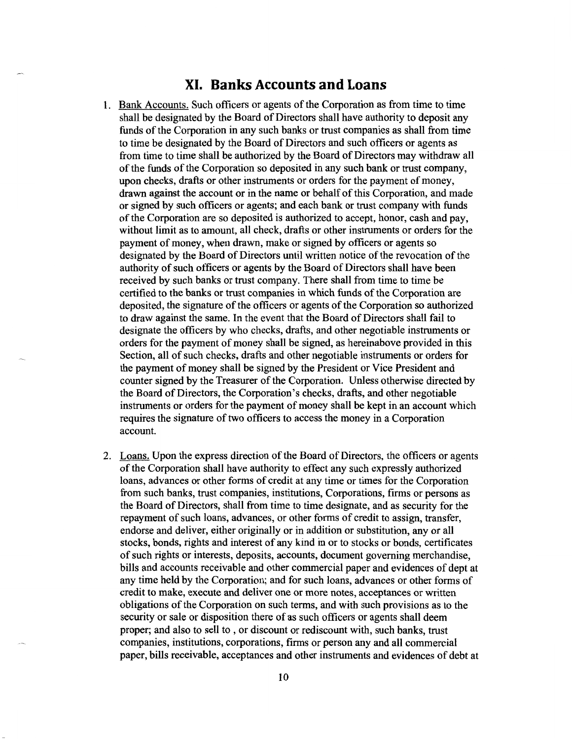### **XI. Banks Accounts and Loans**

- Bank Accounts. Such officers or agents of the Corporation as from time to time shall be designated by the Board of Directors shall have authority to deposit any funds of the Corporation in any such banks or trust companies as shall from time to time be designated by the Board of Directors and such officers or agents as from time to time shall be authorized by the Board of Directors may withdraw all of the funds of the Corporation so deposited in any such bank or trust company, upon checks, drafts or other instruments or orders for the payment of money, drawn against the account or in the name or behalf of this Corporation, and made or signed by such officers or agents; and each bank or trust company with funds of the Corporation are so deposited is authorized to accept, honor, cash and pay, without limit as to amount, all check, drafts or other instruments or orders for the payment of money, when drawn, make or signed by officers or agents so designated by the Board of Directors until written notice of the revocation of the authority of such officers or agents by the Board of Directors shall have been received by such banks or trust company. There shall from time to time be certified to the banks or trust companies in which funds of the Corporation are deposited, the signature of the officers or agents of the Corporation so authorized to draw against the same. In the event that the Board of Directors shall fail to designate the officers by who checks, drafts, and other negotiable instruments or orders for the payment of money shall be signed, as hereinabove provided in this Section, all of such checks, drafts and other negotiable instruments or orders for the payment of money shall be signed by the President or Vice President and counter signed by the Treasurer of the Corporation. Unless otherwise directed by the Board of Directors, the Corporation's checks, drafts, and other negotiable instruments or orders for the payment of money shall be kept in an account which requires the signature of two officers to access the money in a Corporation account.
- 2. Loans. Upon the express direction of the Board of Directors, the officers or agents of the Corporation shall have authority to effect any such expressly authorized loans, advances or other forms of credit at any time or times for the Corporation from such banks, trust companies, institutions, Corporations, firms or persons as the Board of Directors, shall from time to tune designate, and as security for the repayment of such loans, advances, or other forms of credit to assign, transfer, endorse and deliver, either originally or in addition or substitution, any or all stocks, bonds, rights and interest of any kind in or to stocks or bonds, certificates of such rights or interests, deposits, accounts, document governing merchandise, bills and accounts receivable and other commercial paper and evidences of dept at any time held by the Corporation; and for such loans, advances or other forms of credit to make, execute and deliver one or more notes, acceptances or written obligations of the Corporation on such terms, and with such provisions as to the security or sale or disposition there of as such officers or agents shall deem proper; and also to sell to , or discount or rediscount with, such banks, trust companies, institutions, corporations, firms or person any and all commercial paper, bills receivable, acceptances and other instruments and evidences of debt at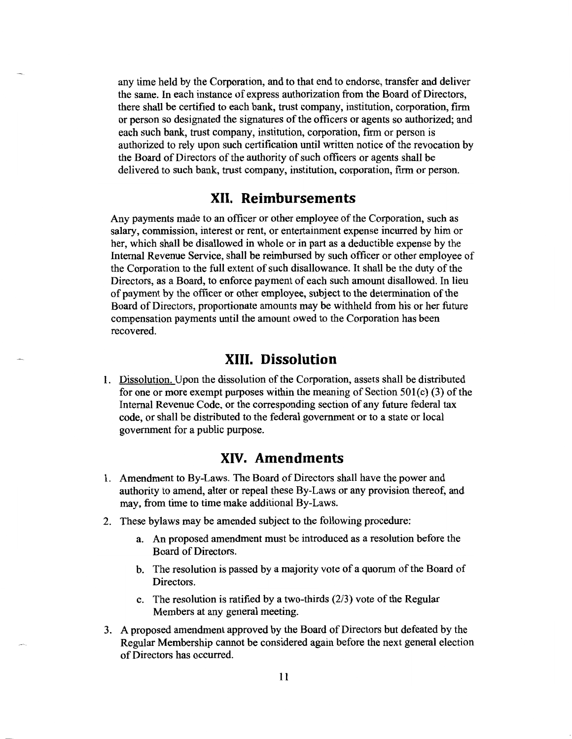any time held by the Corporation, and to that end to endorse, transfer and deliver the same. In each instance of express authorization from the Board of Directors, there shall be certified to each bank, trust company, institution, corporation, firm or person so designated the signatures of the officers or agents so authorized; and each such bank, trust company, institution, corporation, firm or person is authorized to rely upon such certification until written notice of the revocation by the Board of Directors of the authority of such officers or agents shall be delivered to such bank, trust company, institution, corporation, firm or person.

#### **XII. Reimbursements**

Any payments made to an officer or other employee of the Corporation, such as salary, commission, interest or rent, or entertainment expense incurred by him or her, which shall be disallowed in whole or in part as a deductible expense by the Internal Revenue Service, shall be reimbursed by such officer or other employee of the Corporation to the full extent of such disallowance. It shall be the duty of the Directors, as a Board, to enforce payment of each such amount disallowed. In lieu of payment by the officer or other employee, subject to the determination of the Board of Directors, proportionate amounts may be withheld from his or her future compensation payments until the amount owed to the Corporation has been recovered.

### **XIII. Dissolution**

1. Dissolution. Upon the dissolution of the Corporation, assets shall be distributed for one or more exempt purposes within the meaning of Section  $501(c)$  (3) of the Internal Revenue Code, or the corresponding section of any future federal tax code, or shall be distributed to the federal government or to a state or local government for a public purpose.

# **XIV. Amendments**

- 1. Amendment to By-Laws. The Board of Directors shall have the power and authority to amend, alter or repeal these By-Laws or any provision thereof, and may, from time to time make additional By-Laws.
- 2. These bylaws may be amended subject to the following procedure:
	- a. An proposed amendment must be introduced as a resolution before the Board of Directors.
	- b. The resolution is passed by a majority vote of a quorum of the Board of Directors.
	- c. The resolution is ratified by a two-thirds (2/3) vote of the Regular Members at any general meeting.
- 3. A proposed amendment approved by the Board of Directors but defeated by the Regular Membership cannot be considered again before the next general election of Directors has occurred.